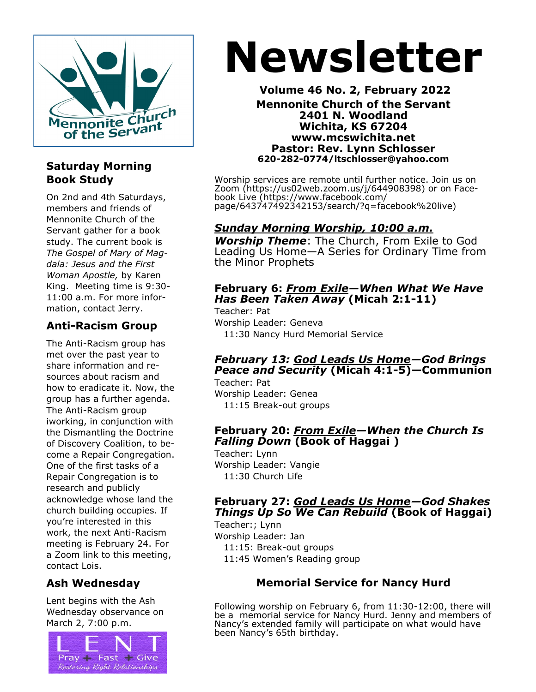

# **Saturday Morning Book Study**

On 2nd and 4th Saturdays, members and friends of Mennonite Church of the Servant gather for a book study. The current book is *The Gospel of Mary of Magdala: Jesus and the First Woman Apostle,* by Karen King. Meeting time is 9:30- 11:00 a.m. For more information, contact Jerry.

# **Anti-Racism Group**

The Anti-Racism group has met over the past year to share information and resources about racism and how to eradicate it. Now, the group has a further agenda. The Anti-Racism group iworking, in conjunction with the Dismantling the Doctrine of Discovery Coalition, to become a Repair Congregation. One of the first tasks of a Repair Congregation is to research and publicly acknowledge whose land the church building occupies. If you're interested in this work, the next Anti-Racism meeting is February 24. For a Zoom link to this meeting, contact Lois.

# **Ash Wednesday**

Lent begins with the Ash Wednesday observance on March 2, 7:00 p.m.



# **Newsletter**

**Volume 46 No. 2, February 2022 Mennonite Church of the Servant 2401 N. Woodland Wichita, KS 67204 www.mcswichita.net Pastor: Rev. Lynn Schlosser 620-282-0774/ltschlosser@yahoo.com**

Worship services are remote until further notice. Join us on Zoom (https://us02web.zoom.us/j/644908398) or on Facebook Live (https://www.facebook.com/ page/643747492342153/search/?q=facebook%20live)

# *Sunday Morning Worship, 10:00 a.m.*

*Worship Theme*: The Church, From Exile to God Leading Us Home—A Series for Ordinary Time from the Minor Prophets

#### **February 6:** *From Exile—When What We Have Has Been Taken Away* **(Micah 2:1-11)**

Teacher: Pat Worship Leader: Geneva 11:30 Nancy Hurd Memorial Service

#### *February 13: God Leads Us Home—God Brings Peace and Security* **(Micah 4:1-5)—Communion**

Teacher: Pat Worship Leader: Genea 11:15 Break-out groups

#### **February 20:** *From Exile—When the Church Is Falling Down* **(Book of Haggai )**

Teacher: Lynn Worship Leader: Vangie 11:30 Church Life

# **February 27:** *God Leads Us Home—God Shakes Things Up So We Can Rebuild* **(Book of Haggai)**

Teacher:; Lynn Worship Leader: Jan 11:15: Break-out groups 11:45 Women's Reading group

# **Memorial Service for Nancy Hurd**

Following worship on February 6, from 11:30-12:00, there will be a memorial service for Nancy Hurd. Jenny and members of Nancy's extended family will participate on what would have been Nancy's 65th birthday.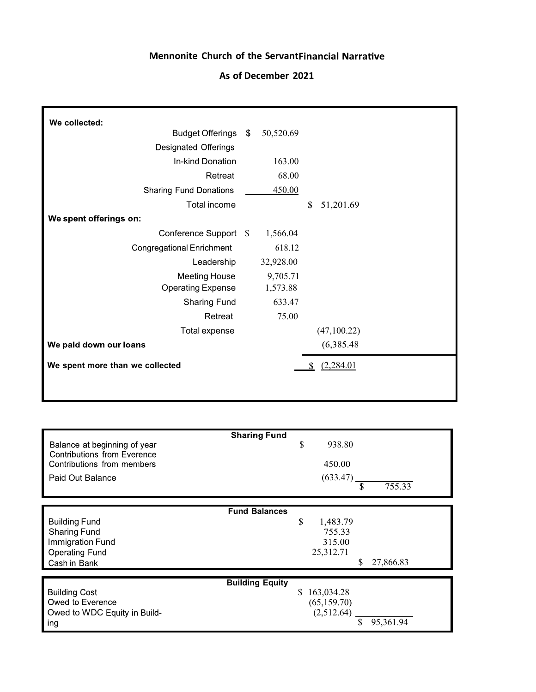#### **Mennonite Church of the Servant**

#### **As of December 2021**

| We collected:                    |           |                 |  |
|----------------------------------|-----------|-----------------|--|
| Budget Offerings \$              | 50,520.69 |                 |  |
| Designated Offerings             |           |                 |  |
| In-kind Donation                 | 163.00    |                 |  |
| Retreat                          | 68.00     |                 |  |
| <b>Sharing Fund Donations</b>    | 450.00    |                 |  |
| Total income                     |           | \$<br>51,201.69 |  |
| We spent offerings on:           |           |                 |  |
| Conference Support \$            | 1,566.04  |                 |  |
| <b>Congregational Enrichment</b> | 618.12    |                 |  |
| Leadership                       | 32,928.00 |                 |  |
| <b>Meeting House</b>             | 9,705.71  |                 |  |
| <b>Operating Expense</b>         | 1,573.88  |                 |  |
| <b>Sharing Fund</b>              | 633.47    |                 |  |
| Retreat                          | 75.00     |                 |  |
| Total expense                    |           | (47,100.22)     |  |
| We paid down our loans           |           | (6,385.48)      |  |
| We spent more than we collected  |           | (2,284.01)      |  |
|                                  |           |                 |  |

 $\mathcal{A}$ 

| <b>Sharing Fund</b>                                                                                       | \$                                                                 |
|-----------------------------------------------------------------------------------------------------------|--------------------------------------------------------------------|
| Balance at beginning of year                                                                              | 938.80                                                             |
| <b>Contributions from Everence</b>                                                                        | 450.00                                                             |
| Contributions from members                                                                                | (633.47)                                                           |
| Paid Out Balance                                                                                          | 755.33                                                             |
| <b>Fund Balances</b>                                                                                      | \$                                                                 |
| <b>Building Fund</b>                                                                                      | 1,483.79                                                           |
| <b>Sharing Fund</b>                                                                                       | 755.33                                                             |
| Immigration Fund                                                                                          | 315.00                                                             |
| <b>Operating Fund</b>                                                                                     | 25,312.71                                                          |
| Cash in Bank                                                                                              | 27,866.83                                                          |
| <b>Building Equity</b><br><b>Building Cost</b><br>Owed to Everence<br>Owed to WDC Equity in Build-<br>ing | 163,034.28<br>\$.<br>(65, 159.70)<br>(2,512.64)<br>\$<br>95,361.94 |